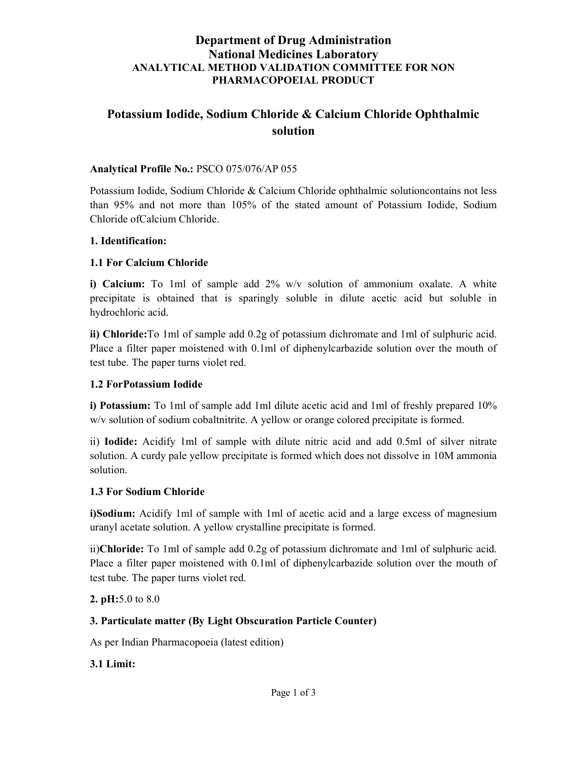## Department of Drug Administration National Medicines Laboratory ANALYTICAL METHOD VALIDATION COMMITTEE FOR NON PHARMACOPOEIAL PRODUCT

# Potassium Iodide, Sodium Chloride & Calcium Chloride Ophthalmic solution

#### Analytical Profile No.: PSCO 075/076/AP 055

Potassium Iodide, Sodium Chloride & Calcium Chloride ophthalmic solutioncontains not less than 95% and not more than 105% of the stated amount of Potassium Iodide, Sodium Chloride ofCalcium Chloride.

#### 1. Identification:

#### 1.1 For Calcium Chloride

i) Calcium: To 1ml of sample add 2% w/v solution of ammonium oxalate. A white precipitate is obtained that is sparingly soluble in dilute acetic acid but soluble in hydrochloric acid.

ii) Chloride:To 1ml of sample add 0.2g of potassium dichromate and 1ml of sulphuric acid. Place a filter paper moistened with 0.1ml of diphenylcarbazide solution over the mouth of test tube. The paper turns violet red.

#### 1.2 ForPotassium Iodide

i) Potassium: To 1ml of sample add 1ml dilute acetic acid and 1ml of freshly prepared 10% w/v solution of sodium cobaltnitrite. A yellow or orange colored precipitate is formed.

ii) Iodide: Acidify 1ml of sample with dilute nitric acid and add 0.5ml of silver nitrate solution. A curdy pale yellow precipitate is formed which does not dissolve in 10M ammonia solution.

#### 1.3 For Sodium Chloride

i)Sodium: Acidify 1ml of sample with 1ml of acetic acid and a large excess of magnesium uranyl acetate solution. A yellow crystalline precipitate is formed.

ii)Chloride: To 1ml of sample add 0.2g of potassium dichromate and 1ml of sulphuric acid. Place a filter paper moistened with 0.1ml of diphenylcarbazide solution over the mouth of test tube. The paper turns violet red.

2. pH:5.0 to 8.0

#### 3. Particulate matter (By Light Obscuration Particle Counter)

As per Indian Pharmacopoeia (latest edition)

#### 3.1 Limit: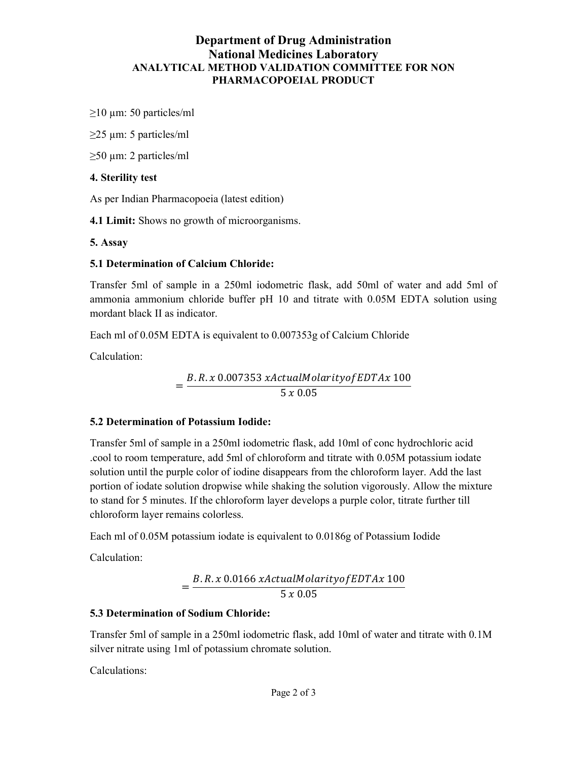## Department of Drug Administration National Medicines Laboratory ANALYTICAL METHOD VALIDATION COMMITTEE FOR NON PHARMACOPOEIAL PRODUCT

 $\geq$ 10 µm: 50 particles/ml

 $\geq$ 25 µm: 5 particles/ml

 $\geq$ 50 µm: 2 particles/ml

### 4. Sterility test

As per Indian Pharmacopoeia (latest edition)

4.1 Limit: Shows no growth of microorganisms.

5. Assay

### 5.1 Determination of Calcium Chloride:

Transfer 5ml of sample in a 250ml iodometric flask, add 50ml of water and add 5ml of ammonia ammonium chloride buffer pH 10 and titrate with 0.05M EDTA solution using mordant black II as indicator.

Each ml of 0.05M EDTA is equivalent to 0.007353g of Calcium Chloride

Calculation:

=  $B.R.x 0.007353 xActualMolarity of EDTAx 100$  $5 \times 0.05$ 

### 5.2 Determination of Potassium Iodide:

Transfer 5ml of sample in a 250ml iodometric flask, add 10ml of conc hydrochloric acid .cool to room temperature, add 5ml of chloroform and titrate with 0.05M potassium iodate solution until the purple color of iodine disappears from the chloroform layer. Add the last portion of iodate solution dropwise while shaking the solution vigorously. Allow the mixture to stand for 5 minutes. If the chloroform layer develops a purple color, titrate further till chloroform layer remains colorless.

Each ml of 0.05M potassium iodate is equivalent to 0.0186g of Potassium Iodide

Calculation:

$$
=\frac{B.R.x\ 0.0166\ xActualMolarity of EDTAx\ 100}{5\ x\ 0.05}
$$

### 5.3 Determination of Sodium Chloride:

Transfer 5ml of sample in a 250ml iodometric flask, add 10ml of water and titrate with 0.1M silver nitrate using 1ml of potassium chromate solution.

Calculations: